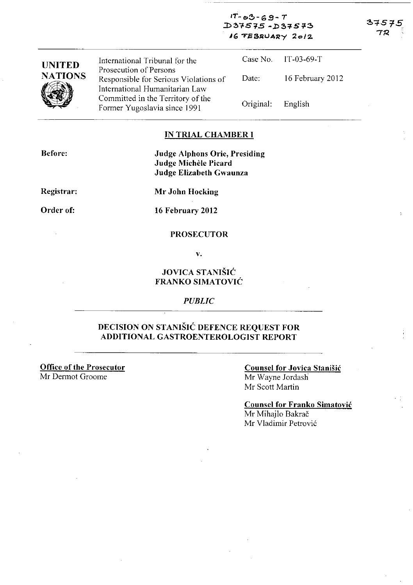$1T - 03 - 69 - T$ :D~""S'1S **-.l)5'i'S!}:!> IG TEBRUARY 2012** 

| <b>UNITED</b>  | International Tribunal for the                                                                    |           | Case No. IT-03-69-T |
|----------------|---------------------------------------------------------------------------------------------------|-----------|---------------------|
| <b>NATIONS</b> | Prosecution of Persons<br>Responsible for Serious Violations of<br>International Humanitarian Law | Date:     | 16 February 2012    |
|                | Committed in the Territory of the<br>Former Yugoslavia since 1991                                 | Original: | English             |

## **IN TRIAL CHAMBER I**

**Before:** 

**Judge Alphons Orie, Presiding Judge Michele Picard Judge Elizabeth Gwaunza** 

**Registrar:** 

**Mr John Hocking** 

**Order of:** 

**16 February 2012** 

#### **PROSECUTOR**

v.

# **JOVICA STANISIC FRANKO SIMATOVIC**

*PUBLIC* 

# **DECISION ON STANISIC DEFENCE REQUEST FOR ADDITIONAL GASTROENTEROLOGIST REPORT**

**Office of the Prosecutor**  Mr Dermot Groome

### **Counsel for Jovica StaniSic**  Mr Wayne lordash Mr Scott Martin

**Counsel for Franko Simatovic**  Mr Mihajlo Bakrač Mr Vladimir Petrović

72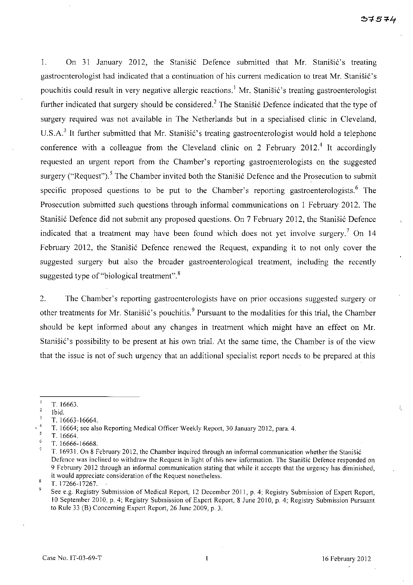1. On 31 January 2012, the Stanisic Defence submitted that Mr. Stanisic's treating gastroenterologist had indicated that a continuation of his current medication to treat Mr. Stanišić's pouchitis could result in very negative allergic reactions.<sup>1</sup> Mr. Stanišić's treating gastroenterologist further indicated that surgery should be considered.<sup>2</sup> The Stanistic Defence indicated that the type of surgery required was not available in The Netherlands but in a specialised clinic in Cleveland, U.S.A.<sup>3</sup> It further submitted that Mr. Stanisić's treating gastroenterologist would hold a telephone conference with a colleague from the Cleveland clinic on 2 February 2012.<sup>4</sup> It accordingly requested an urgent report from the Chamber's reporting gastroenterologists on the suggested surgery ("Request").<sup>5</sup> The Chamber invited both the Stanisic Defence and the Prosecution to submit specific proposed questions to be put to the Chamber's reporting gastroenterologists.<sup>6</sup> The Prosecution submitted such questions through informal communications on I February 2012. The Stanišić Defence did not submit any proposed questions. On 7 February 2012, the Stanišić Defence indicated that a treatment may have been found which does not yet involve surgery.<sup>7</sup> On 14 February 2012, the Stanišić Defence renewed the Request, expanding it to not only cover the suggested surgery but also the broader gastroenterological treatment, including the recently suggested type of "biological treatment".<sup>8</sup>

2. The Chamber's reporting gastroenterologists have on prior occasions suggested surgery or other treatments for Mr. Stanišić's pouchitis.<sup>9</sup> Pursuant to the modalities for this trial, the Chamber should be kept informed about any changes in treatment which might have an effect on Mr. Stanišić's possibility to be present at his own trial. At the same time, the Chamber is of the view that the issue is not of such urgency that an additional specialist report needs to be prepared at this

Ť,

 $\mathbf{1}$ T 16663.

 $\overline{2}$ Ibid.

 $\overline{\mathbf{3}}$ T. 16663-16664.

T. 16664; see also Reporting Medical Officer Weekly Report, 30 January 2012, para. 4.  $\overline{\mathbf{5}}$ 

<sup>6</sup>  T.16664.

T. 16666-16668.

T. 16931. On 8 February 2012, the Chamber inquired through an informal communication whether the Stanišić Defence was inclined to withdraw the Request in light of this new information. The Stanišić Defence responded on 9 February 2012 through an informal communication stating that while it accepts that the urgency has diminished, it would appreciate consideration of the Request nonetheless.

<sup>8</sup> T.I7266-17267.

<sup>9</sup>  See e.g. Registry Submission of Medical Report, 12 December 2011, p. 4; Registry Submission of Expert Report, 10 September 2010, p. 4; Registry Submission of Expert Report, 8 June 2010, p. 4; Registry Submission Pursuant to Rule 33 (B) Concerning Expert Report, 26 June 2009, p. 3.